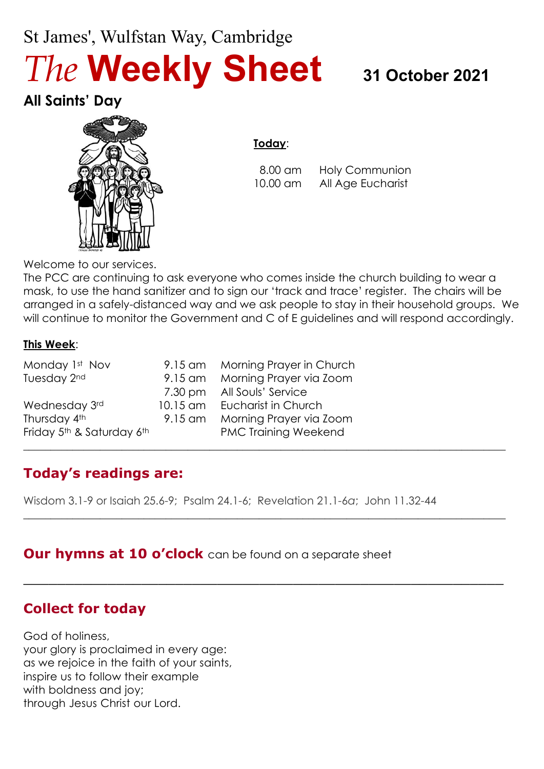# St James', Wulfstan Way, Cambridge *The* **Weekly Sheet <sup>31</sup> October <sup>2021</sup>**

**All Saints' Day**



#### **Today**:

 8.00 am Holy Communion 10.00 am All Age Eucharist

Welcome to our services.

The PCC are continuing to ask everyone who comes inside the church building to wear a mask, to use the hand sanitizer and to sign our 'track and trace' register. The chairs will be arranged in a safely-distanced way and we ask people to stay in their household groups. We will continue to monitor the Government and C of E guidelines and will respond accordingly.

 $\_$  , and the set of the set of the set of the set of the set of the set of the set of the set of the set of the set of the set of the set of the set of the set of the set of the set of the set of the set of the set of th

 $\_$  , and the set of the set of the set of the set of the set of the set of the set of the set of the set of the set of the set of the set of the set of the set of the set of the set of the set of the set of the set of th

\_\_\_\_\_\_\_\_\_\_\_\_\_\_\_\_\_\_\_\_\_\_\_\_\_\_\_\_\_\_\_\_\_\_\_\_\_\_\_\_\_\_\_\_\_\_\_\_\_\_\_\_\_\_\_\_\_

#### **This Week**:

| Monday 1st Nov                                    | 9.15 am Morning Prayer in Church |
|---------------------------------------------------|----------------------------------|
| Tuesday 2nd                                       | 9.15 am Morning Prayer via Zoom  |
|                                                   | 7.30 pm All Souls' Service       |
| Wednesday 3rd                                     | 10.15 am Eucharist in Church     |
| Thursday 4th                                      | 9.15 am Morning Prayer via Zoom  |
| Friday 5 <sup>th</sup> & Saturday 6 <sup>th</sup> | <b>PMC Training Weekend</b>      |

# **Today's readings are:**

Wisdom 3.1-9 or Isaiah 25.6-9; Psalm 24.1-6; Revelation 21.1-6*a*; John 11.32-44

### **Our hymns at 10 o'clock** can be found on a separate sheet

# **Collect for today**

God of holiness, your glory is proclaimed in every age: as we rejoice in the faith of your saints, inspire us to follow their example with boldness and joy; through Jesus Christ our Lord.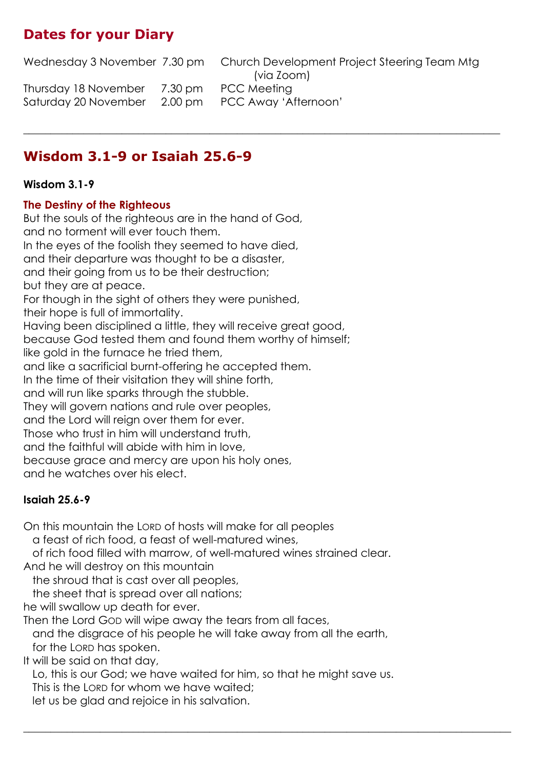# **Dates for your Diary**

Wednesday 3 November 7.30 pm Church Development Project Steering Team Mtg (via Zoom) Thursday 18 November 7.30 pm PCC Meeting Saturday 20 November 2.00 pm PCC Away 'Afternoon'

 $\_$  , and the set of the set of the set of the set of the set of the set of the set of the set of the set of the set of the set of the set of the set of the set of the set of the set of the set of the set of the set of th

# **Wisdom 3.1-9 or Isaiah 25.6-9**

#### **Wisdom 3.1-9**

#### **The Destiny of the Righteous**

But the souls of the righteous are in the hand of God, and no torment will ever touch them. In the eyes of the foolish they seemed to have died, and their departure was thought to be a disaster, and their going from us to be their destruction; but they are at peace. For though in the sight of others they were punished, their hope is full of immortality. Having been disciplined a little, they will receive great good, because God tested them and found them worthy of himself; like gold in the furnace he tried them, and like a sacrificial burnt-offering he accepted them. In the time of their visitation they will shine forth, and will run like sparks through the stubble. They will govern nations and rule over peoples, and the Lord will reign over them for ever. Those who trust in him will understand truth, and the faithful will abide with him in love, because grace and mercy are upon his holy ones, and he watches over his elect.

#### **Isaiah 25.6-9**

On this mountain the LORD of hosts will make for all peoples

a feast of rich food, a feast of well-matured wines,

of rich food filled with marrow, of well-matured wines strained clear.

And he will destroy on this mountain

the shroud that is cast over all peoples,

the sheet that is spread over all nations;

he will swallow up death for ever.

Then the Lord GOD will wipe away the tears from all faces,

 and the disgrace of his people he will take away from all the earth, for the LORD has spoken.

It will be said on that day,

Lo, this is our God; we have waited for him, so that he might save us.

 $\_$  , and the set of the set of the set of the set of the set of the set of the set of the set of the set of the set of the set of the set of the set of the set of the set of the set of the set of the set of the set of th

This is the LORD for whom we have waited;

let us be glad and rejoice in his salvation.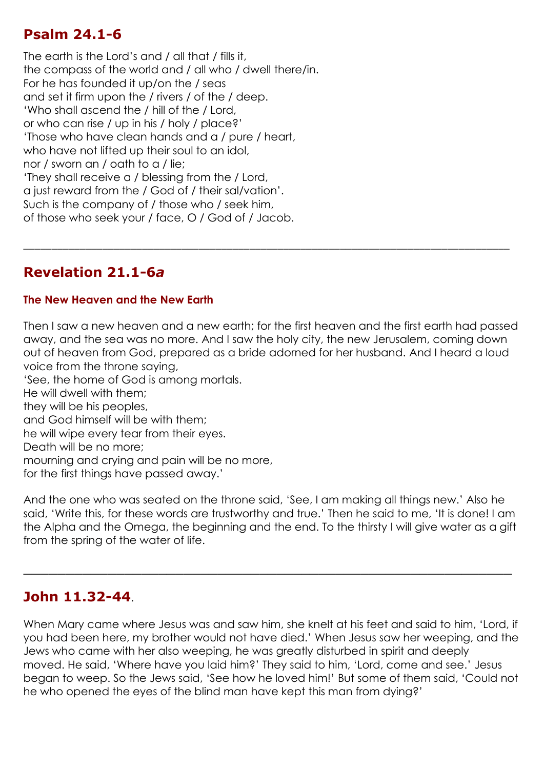# **Psalm 24.1-6**

The earth is the Lord's and / all that / fills it, the compass of the world and / all who / dwell there/in. For he has founded it up/on the / seas and set it firm upon the / rivers / of the / deep. 'Who shall ascend the / hill of the / Lord, or who can rise / up in his / holy / place?' 'Those who have clean hands and a / pure / heart, who have not lifted up their soul to an idol, nor / sworn an / oath to a / lie; 'They shall receive a / blessing from the / Lord, a just reward from the / God of / their sal/vation'. Such is the company of / those who / seek him, of those who seek your / face, O / God of / Jacob.

# **Revelation 21.1-6***a*

#### **The New Heaven and the New Earth**

Then I saw a new heaven and a new earth; for the first heaven and the first earth had passed away, and the sea was no more. And I saw the holy city, the new Jerusalem, coming down out of heaven from God, prepared as a bride adorned for her husband. And I heard a loud voice from the throne saying, 'See, the home of God is among mortals.

\_\_\_\_\_\_\_\_\_\_\_\_\_\_\_\_\_\_\_\_\_\_\_\_\_\_\_\_\_\_\_\_\_\_\_\_\_\_\_\_\_\_\_\_\_\_\_\_\_\_\_\_\_\_\_\_\_\_\_\_\_\_\_\_\_\_\_\_\_\_\_\_\_\_\_\_\_\_\_\_\_\_\_\_\_\_

He will dwell with them;

they will be his peoples,

and God himself will be with them;

he will wipe every tear from their eyes.

Death will be no more;

mourning and crying and pain will be no more,

for the first things have passed away.'

And the one who was seated on the throne said, 'See, I am making all things new.' Also he said, 'Write this, for these words are trustworthy and true.' Then he said to me, 'It is done! I am the Alpha and the Omega, the beginning and the end. To the thirsty I will give water as a gift from the spring of the water of life.

\_\_\_\_\_\_\_\_\_\_\_\_\_\_\_\_\_\_\_\_\_\_\_\_\_\_\_\_\_\_\_\_\_\_\_\_\_\_\_\_\_\_\_\_\_\_\_\_\_\_\_\_\_\_\_\_\_\_

### **John 11.32-44**.

When Mary came where Jesus was and saw him, she knelt at his feet and said to him, 'Lord, if you had been here, my brother would not have died.' When Jesus saw her weeping, and the Jews who came with her also weeping, he was greatly disturbed in spirit and deeply moved. He said, 'Where have you laid him?' They said to him, 'Lord, come and see.' Jesus began to weep. So the Jews said, 'See how he loved him!' But some of them said, 'Could not he who opened the eyes of the blind man have kept this man from dying?'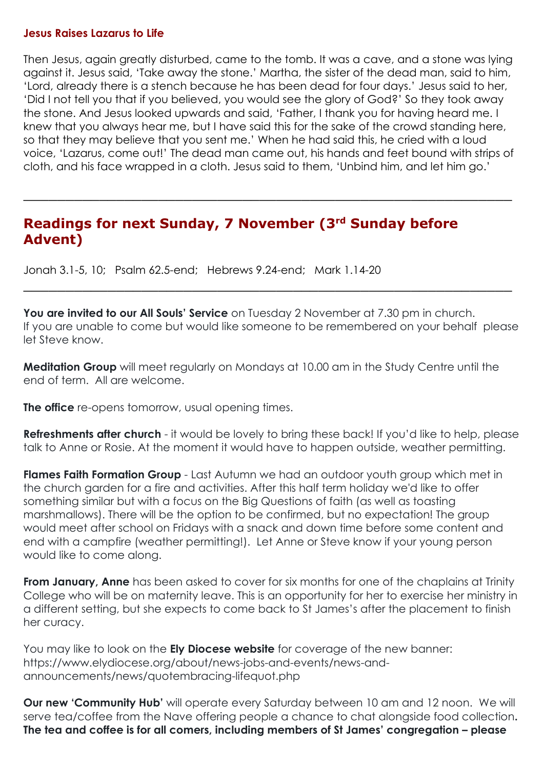#### **Jesus Raises Lazarus to Life**

Then Jesus, again greatly disturbed, came to the tomb. It was a cave, and a stone was lying against it. Jesus said, 'Take away the stone.' Martha, the sister of the dead man, said to him, 'Lord, already there is a stench because he has been dead for four days.' Jesus said to her, 'Did I not tell you that if you believed, you would see the glory of God?' So they took away the stone. And Jesus looked upwards and said, 'Father, I thank you for having heard me. I knew that you always hear me, but I have said this for the sake of the crowd standing here, so that they may believe that you sent me.' When he had said this, he cried with a loud voice, 'Lazarus, come out!' The dead man came out, his hands and feet bound with strips of cloth, and his face wrapped in a cloth. Jesus said to them, 'Unbind him, and let him go.'

\_\_\_\_\_\_\_\_\_\_\_\_\_\_\_\_\_\_\_\_\_\_\_\_\_\_\_\_\_\_\_\_\_\_\_\_\_\_\_\_\_\_\_\_\_\_\_\_\_\_\_\_\_\_\_\_\_\_

## **Readings for next Sunday, 7 November (3rd Sunday before Advent)**

Jonah 3.1-5, 10; Psalm 62.5-end; Hebrews 9.24-end; Mark 1.14-20

**You are invited to our All Souls' Service** on Tuesday 2 November at 7.30 pm in church. If you are unable to come but would like someone to be remembered on your behalf please let Steve know.

\_\_\_\_\_\_\_\_\_\_\_\_\_\_\_\_\_\_\_\_\_\_\_\_\_\_\_\_\_\_\_\_\_\_\_\_\_\_\_\_\_\_\_\_\_\_\_\_\_\_\_\_\_\_\_\_\_\_

**Meditation Group** will meet regularly on Mondays at 10.00 am in the Study Centre until the end of term. All are welcome.

**The office** re-opens tomorrow, usual opening times.

**Refreshments after church** - it would be lovely to bring these back! If you'd like to help, please talk to Anne or Rosie. At the moment it would have to happen outside, weather permitting.

**Flames Faith Formation Group** - Last Autumn we had an outdoor youth group which met in the church garden for a fire and activities. After this half term holiday we'd like to offer something similar but with a focus on the Big Questions of faith (as well as toasting marshmallows). There will be the option to be confirmed, but no expectation! The group would meet after school on Fridays with a snack and down time before some content and end with a campfire (weather permitting!). Let Anne or Steve know if your young person would like to come along.

**From January, Anne** has been asked to cover for six months for one of the chaplains at Trinity College who will be on maternity leave. This is an opportunity for her to exercise her ministry in a different setting, but she expects to come back to St James's after the placement to finish her curacy.

You may like to look on the **Ely Diocese website** for coverage of the new banner: https://www.elydiocese.org/about/news-jobs-and-events/news-andannouncements/news/quotembracing-lifequot.php

**Our new 'Community Hub'** will operate every Saturday between 10 am and 12 noon. We will serve tea/coffee from the Nave offering people a chance to chat alongside food collection**. The tea and coffee is for all comers, including members of St James' congregation – please**